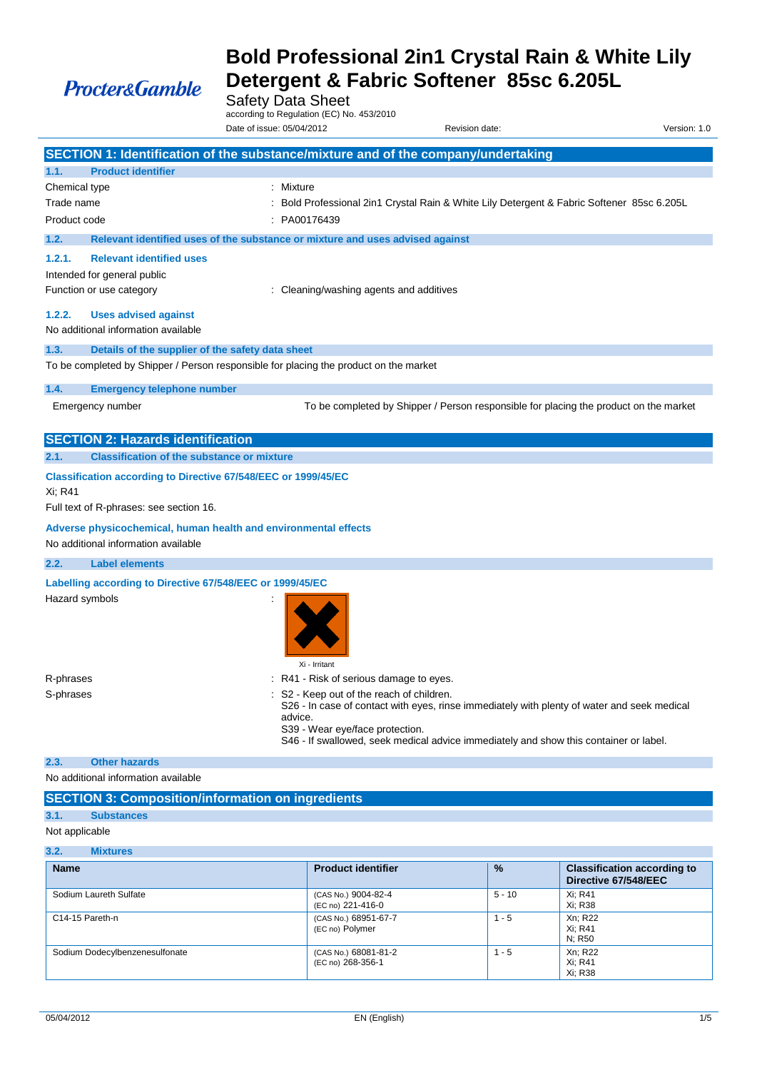# **Procter&Gamble**

# **Bold Professional 2in1 Crystal Rain & White Lily Detergent & Fabric Softener 85sc 6.205L**

Safety Data Sheet

according to Regulation (EC) No. 453/2010

Date of issue: 05/04/2012 Revision date: Version: 1.0 **SECTION 1: Identification of the substance/mixture and of the company/undertaking 1.1. Product identifier** Chemical type  $\qquad \qquad$ : Mixture Trade name **in the state of the Crystal Crystal Rain & White Lily Detergent & Fabric Softener 85sc 6.205L** Product code : PA00176439 **1.2. Relevant identified uses of the substance or mixture and uses advised against 1.2.1. Relevant identified uses** Intended for general public Function or use category **Exercise 20** Function or use category **in the case of the Cleaning/washing agents and additives 1.2.2. Uses advised against** No additional information available **1.3. Details of the supplier of the safety data sheet** To be completed by Shipper / Person responsible for placing the product on the market **1.4. Emergency telephone number** Emergency number To be completed by Shipper / Person responsible for placing the product on the market **SECTION 2: Hazards identification 2.1. Classification of the substance or mixture Classification according to Directive 67/548/EEC or 1999/45/EC** Xi; R41 Full text of R-phrases: see section 16. **Adverse physicochemical, human health and environmental effects** No additional information available **2.2. Label elements Labelling according to Directive 67/548/EEC or 1999/45/EC** Hazard symbols : Xi - Irritant R-phrases : R41 - Risk of serious damage to eyes. S-phrases : S2 - Keep out of the reach of children. S26 - In case of contact with eyes, rinse immediately with plenty of water and seek medical advice.

S39 - Wear eye/face protection.

S46 - If swallowed, seek medical advice immediately and show this container or label.

#### **2.3. Other hazards**

No additional information available

### **SECTION 3: Composition/information on ingredients**

### **3.1. Substances**

Not applicable

| Aixtures |
|----------|
|----------|

| <b>Name</b>                    | <b>Product identifier</b>                 | $\frac{9}{6}$ | <b>Classification according to</b><br>Directive 67/548/EEC |
|--------------------------------|-------------------------------------------|---------------|------------------------------------------------------------|
| Sodium Laureth Sulfate         | (CAS No.) 9004-82-4<br>(EC no) 221-416-0  | $5 - 10$      | Xi: R41<br>Xi: R38                                         |
| C14-15 Pareth-n                | (CAS No.) 68951-67-7<br>(EC no) Polymer   | $1 - 5$       | Xn: R22<br>Xi: R41<br>N: R50                               |
| Sodium Dodecylbenzenesulfonate | (CAS No.) 68081-81-2<br>(EC no) 268-356-1 | - 5           | Xn: R22<br>Xi: R41<br>Xi: R38                              |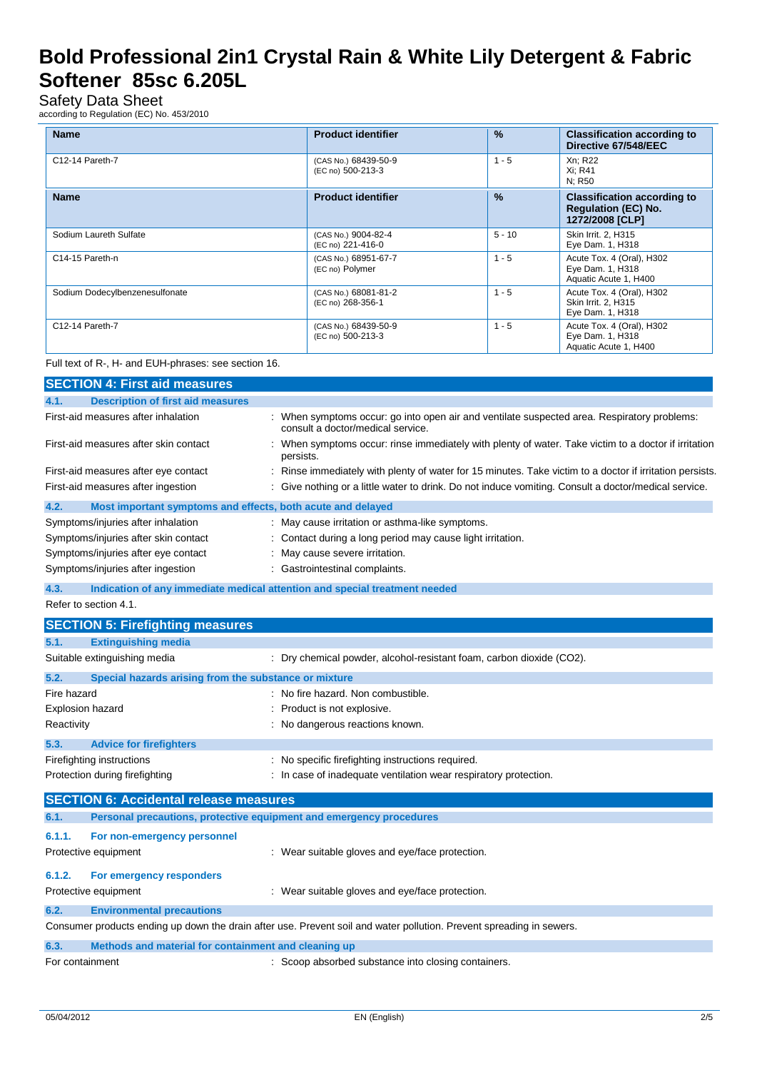### Safety Data Sheet

according to Regulation (EC) No. 453/2010

| <b>Name</b>                    | <b>Product identifier</b>                 | $\%$          | <b>Classification according to</b><br>Directive 67/548/EEC                          |
|--------------------------------|-------------------------------------------|---------------|-------------------------------------------------------------------------------------|
| C12-14 Pareth-7                | (CAS No.) 68439-50-9<br>(EC no) 500-213-3 | $1 - 5$       | Xn; R22<br>Xi; R41<br>N: R50                                                        |
| <b>Name</b>                    | <b>Product identifier</b>                 | $\frac{9}{6}$ | <b>Classification according to</b><br><b>Regulation (EC) No.</b><br>1272/2008 [CLP] |
| Sodium Laureth Sulfate         | (CAS No.) 9004-82-4<br>(EC no) 221-416-0  | $5 - 10$      | Skin Irrit. 2, H315<br>Eye Dam. 1, H318                                             |
| C14-15 Pareth-n                | (CAS No.) 68951-67-7<br>(EC no) Polymer   | $1 - 5$       | Acute Tox. 4 (Oral), H302<br>Eye Dam. 1, H318<br>Aquatic Acute 1, H400              |
| Sodium Dodecylbenzenesulfonate | (CAS No.) 68081-81-2<br>(EC no) 268-356-1 | $1 - 5$       | Acute Tox. 4 (Oral), H302<br>Skin Irrit. 2, H315<br>Eye Dam. 1, H318                |
| C12-14 Pareth-7                | (CAS No.) 68439-50-9<br>(EC no) 500-213-3 | $1 - 5$       | Acute Tox. 4 (Oral), H302<br>Eye Dam. 1, H318<br>Aquatic Acute 1, H400              |

Full text of R-, H- and EUH-phrases: see section 16.

| <b>SECTION 4: First aid measures</b>                                |                                                                                                                                |
|---------------------------------------------------------------------|--------------------------------------------------------------------------------------------------------------------------------|
| <b>Description of first aid measures</b><br>4.1.                    |                                                                                                                                |
| First-aid measures after inhalation                                 | When symptoms occur: go into open air and ventilate suspected area. Respiratory problems:<br>consult a doctor/medical service. |
| First-aid measures after skin contact                               | When symptoms occur: rinse immediately with plenty of water. Take victim to a doctor if irritation<br>persists.                |
| First-aid measures after eye contact                                | Rinse immediately with plenty of water for 15 minutes. Take victim to a doctor if irritation persists.                         |
| First-aid measures after ingestion                                  | Give nothing or a little water to drink. Do not induce vomiting. Consult a doctor/medical service.                             |
| 4.2.<br>Most important symptoms and effects, both acute and delayed |                                                                                                                                |
| Symptoms/injuries after inhalation                                  | : May cause irritation or asthma-like symptoms.                                                                                |
| Symptoms/injuries after skin contact                                | : Contact during a long period may cause light irritation.                                                                     |
| Symptoms/injuries after eye contact                                 | May cause severe irritation.                                                                                                   |
| Symptoms/injuries after ingestion                                   | : Gastrointestinal complaints.                                                                                                 |
| 4.3.                                                                | Indication of any immediate medical attention and special treatment needed                                                     |
| Refer to section 4.1.                                               |                                                                                                                                |
| <b>SECTION 5: Firefighting measures</b>                             |                                                                                                                                |

| 5.1.        | <b>Extinguishing media</b>                            |                                                                      |
|-------------|-------------------------------------------------------|----------------------------------------------------------------------|
|             | Suitable extinguishing media                          | : Dry chemical powder, alcohol-resistant foam, carbon dioxide (CO2). |
| 5.2.        | Special hazards arising from the substance or mixture |                                                                      |
| Fire hazard |                                                       | : No fire hazard. Non combustible.                                   |
|             | Explosion hazard                                      | : Product is not explosive.                                          |
| Reactivity  |                                                       | : No dangerous reactions known.                                      |
| 5.3.        | <b>Advice for firefighters</b>                        |                                                                      |
|             | Firefighting instructions                             | : No specific firefighting instructions required.                    |
|             | Protection during firefighting                        | : In case of inadequate ventilation wear respiratory protection.     |
|             |                                                       |                                                                      |

| <b>SECTION 6: Accidental release measures</b> |                                                                     |                                                                                                                      |  |
|-----------------------------------------------|---------------------------------------------------------------------|----------------------------------------------------------------------------------------------------------------------|--|
| 6.1.                                          | Personal precautions, protective equipment and emergency procedures |                                                                                                                      |  |
| 6.1.1.                                        | For non-emergency personnel<br>Protective equipment                 | : Wear suitable gloves and eye/face protection.                                                                      |  |
| 6.1.2.                                        | For emergency responders<br>Protective equipment                    | : Wear suitable gloves and eye/face protection.                                                                      |  |
| 6.2.                                          | <b>Environmental precautions</b>                                    |                                                                                                                      |  |
|                                               |                                                                     | Consumer products ending up down the drain after use. Prevent soil and water pollution. Prevent spreading in sewers. |  |
| 6.3.                                          | Methods and material for containment and cleaning up                |                                                                                                                      |  |
| For containment                               |                                                                     | : Scoop absorbed substance into closing containers.                                                                  |  |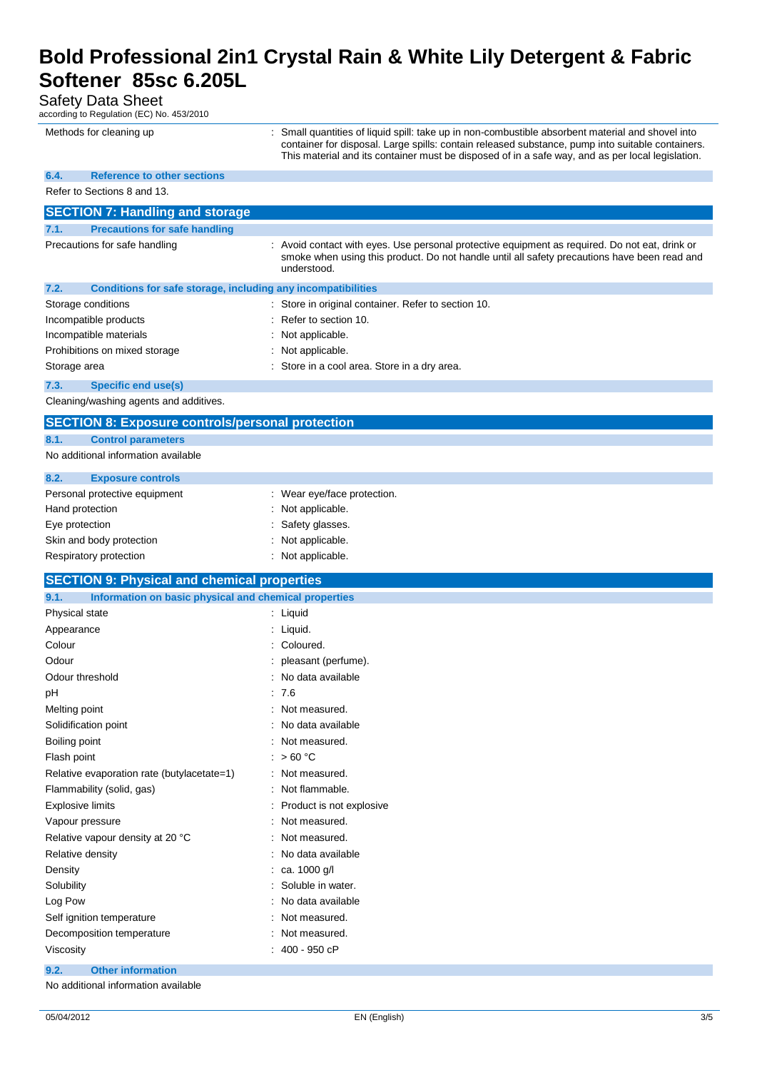Safety Data Sheet

| according to Regulation (EC) No. 453/2010                                                                           |                                                                                                                                                                                                                                                                                                         |
|---------------------------------------------------------------------------------------------------------------------|---------------------------------------------------------------------------------------------------------------------------------------------------------------------------------------------------------------------------------------------------------------------------------------------------------|
| Methods for cleaning up                                                                                             | Small quantities of liquid spill: take up in non-combustible absorbent material and shovel into<br>container for disposal. Large spills: contain released substance, pump into suitable containers.<br>This material and its container must be disposed of in a safe way, and as per local legislation. |
| <b>Reference to other sections</b><br>6.4.                                                                          |                                                                                                                                                                                                                                                                                                         |
| Refer to Sections 8 and 13.                                                                                         |                                                                                                                                                                                                                                                                                                         |
| <b>SECTION 7: Handling and storage</b>                                                                              |                                                                                                                                                                                                                                                                                                         |
| 7.1.<br><b>Precautions for safe handling</b>                                                                        |                                                                                                                                                                                                                                                                                                         |
| Precautions for safe handling                                                                                       | : Avoid contact with eyes. Use personal protective equipment as required. Do not eat, drink or<br>smoke when using this product. Do not handle until all safety precautions have been read and<br>understood.                                                                                           |
| 7.2.<br><b>Conditions for safe storage, including any incompatibilities</b>                                         |                                                                                                                                                                                                                                                                                                         |
| Storage conditions                                                                                                  | : Store in original container. Refer to section 10.                                                                                                                                                                                                                                                     |
| Incompatible products                                                                                               | Refer to section 10.                                                                                                                                                                                                                                                                                    |
| Incompatible materials                                                                                              | Not applicable.                                                                                                                                                                                                                                                                                         |
| Prohibitions on mixed storage                                                                                       | : Not applicable.                                                                                                                                                                                                                                                                                       |
| Storage area                                                                                                        | : Store in a cool area. Store in a dry area.                                                                                                                                                                                                                                                            |
| 7.3.<br><b>Specific end use(s)</b>                                                                                  |                                                                                                                                                                                                                                                                                                         |
| Cleaning/washing agents and additives.                                                                              |                                                                                                                                                                                                                                                                                                         |
| <b>SECTION 8: Exposure controls/personal protection</b>                                                             |                                                                                                                                                                                                                                                                                                         |
| 8.1.<br><b>Control parameters</b>                                                                                   |                                                                                                                                                                                                                                                                                                         |
| No additional information available                                                                                 |                                                                                                                                                                                                                                                                                                         |
| 8.2.<br><b>Exposure controls</b>                                                                                    |                                                                                                                                                                                                                                                                                                         |
| Personal protective equipment                                                                                       | : Wear eye/face protection.                                                                                                                                                                                                                                                                             |
| Hand protection                                                                                                     | Not applicable.                                                                                                                                                                                                                                                                                         |
| Eye protection                                                                                                      | Safety glasses.                                                                                                                                                                                                                                                                                         |
| Skin and body protection                                                                                            | Not applicable.                                                                                                                                                                                                                                                                                         |
| Respiratory protection                                                                                              | : Not applicable.                                                                                                                                                                                                                                                                                       |
|                                                                                                                     |                                                                                                                                                                                                                                                                                                         |
| <b>SECTION 9: Physical and chemical properties</b><br>9.1.<br>Information on basic physical and chemical properties |                                                                                                                                                                                                                                                                                                         |
| Physical state                                                                                                      | : Liquid                                                                                                                                                                                                                                                                                                |
| Appearance                                                                                                          | : Liquid.                                                                                                                                                                                                                                                                                               |
| Colour                                                                                                              | Coloured.                                                                                                                                                                                                                                                                                               |
| Odour                                                                                                               | pleasant (perfume).                                                                                                                                                                                                                                                                                     |
| Odour threshold                                                                                                     | No data available                                                                                                                                                                                                                                                                                       |
| рH                                                                                                                  | : 7.6                                                                                                                                                                                                                                                                                                   |
| Melting point                                                                                                       | : Not measured.                                                                                                                                                                                                                                                                                         |
| Solidification point                                                                                                | No data available                                                                                                                                                                                                                                                                                       |
| Boiling point                                                                                                       | Not measured.                                                                                                                                                                                                                                                                                           |
| Flash point                                                                                                         | : $>60 °C$                                                                                                                                                                                                                                                                                              |
| Relative evaporation rate (butylacetate=1)                                                                          | : Not measured.                                                                                                                                                                                                                                                                                         |
| Flammability (solid, gas)                                                                                           | Not flammable.                                                                                                                                                                                                                                                                                          |
| <b>Explosive limits</b>                                                                                             | Product is not explosive                                                                                                                                                                                                                                                                                |
| Vapour pressure                                                                                                     | Not measured.                                                                                                                                                                                                                                                                                           |
|                                                                                                                     | Not measured.                                                                                                                                                                                                                                                                                           |
| Relative vapour density at 20 °C                                                                                    | : No data available                                                                                                                                                                                                                                                                                     |
| Relative density                                                                                                    | : ca. $1000$ g/l                                                                                                                                                                                                                                                                                        |
| Density<br>Solubility                                                                                               | Soluble in water.                                                                                                                                                                                                                                                                                       |
|                                                                                                                     | No data available                                                                                                                                                                                                                                                                                       |
| Log Pow                                                                                                             | Not measured.                                                                                                                                                                                                                                                                                           |
| Self ignition temperature<br>Decomposition temperature                                                              | Not measured.                                                                                                                                                                                                                                                                                           |
|                                                                                                                     | : $400 - 950$ cP                                                                                                                                                                                                                                                                                        |
| Viscosity                                                                                                           |                                                                                                                                                                                                                                                                                                         |

#### **9.2. Other information**

No additional information available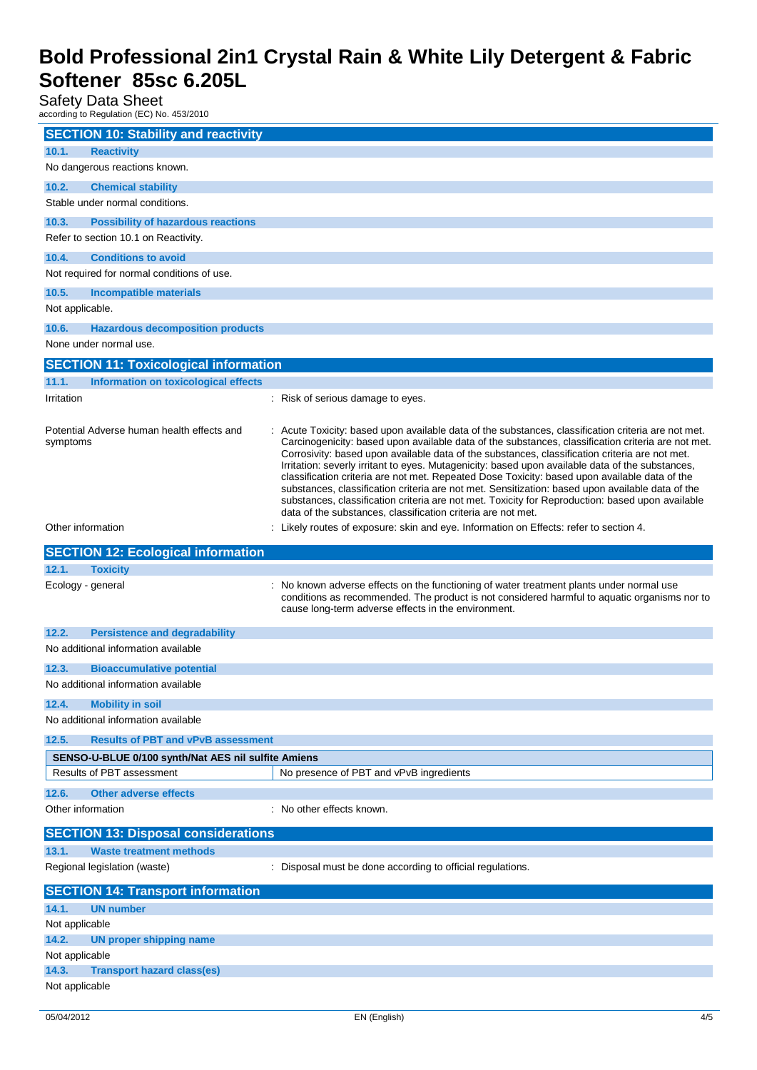### Safety Data Sheet

according to Regulation (EC) No. 453/2010

| <b>SECTION 10: Stability and reactivity</b>                             |                                                                                                                                                                                                                                                                                                                                                                                                                                                                                                                                                                                                                                                                                                                                                                                        |
|-------------------------------------------------------------------------|----------------------------------------------------------------------------------------------------------------------------------------------------------------------------------------------------------------------------------------------------------------------------------------------------------------------------------------------------------------------------------------------------------------------------------------------------------------------------------------------------------------------------------------------------------------------------------------------------------------------------------------------------------------------------------------------------------------------------------------------------------------------------------------|
| 10.1.<br><b>Reactivity</b>                                              |                                                                                                                                                                                                                                                                                                                                                                                                                                                                                                                                                                                                                                                                                                                                                                                        |
| No dangerous reactions known.                                           |                                                                                                                                                                                                                                                                                                                                                                                                                                                                                                                                                                                                                                                                                                                                                                                        |
| 10.2.<br><b>Chemical stability</b>                                      |                                                                                                                                                                                                                                                                                                                                                                                                                                                                                                                                                                                                                                                                                                                                                                                        |
| Stable under normal conditions.                                         |                                                                                                                                                                                                                                                                                                                                                                                                                                                                                                                                                                                                                                                                                                                                                                                        |
| 10.3.<br><b>Possibility of hazardous reactions</b>                      |                                                                                                                                                                                                                                                                                                                                                                                                                                                                                                                                                                                                                                                                                                                                                                                        |
| Refer to section 10.1 on Reactivity.                                    |                                                                                                                                                                                                                                                                                                                                                                                                                                                                                                                                                                                                                                                                                                                                                                                        |
| <b>Conditions to avoid</b><br>10.4.                                     |                                                                                                                                                                                                                                                                                                                                                                                                                                                                                                                                                                                                                                                                                                                                                                                        |
| Not required for normal conditions of use.                              |                                                                                                                                                                                                                                                                                                                                                                                                                                                                                                                                                                                                                                                                                                                                                                                        |
| 10.5.<br><b>Incompatible materials</b>                                  |                                                                                                                                                                                                                                                                                                                                                                                                                                                                                                                                                                                                                                                                                                                                                                                        |
| Not applicable.                                                         |                                                                                                                                                                                                                                                                                                                                                                                                                                                                                                                                                                                                                                                                                                                                                                                        |
| <b>Hazardous decomposition products</b><br>10.6.                        |                                                                                                                                                                                                                                                                                                                                                                                                                                                                                                                                                                                                                                                                                                                                                                                        |
| None under normal use.                                                  |                                                                                                                                                                                                                                                                                                                                                                                                                                                                                                                                                                                                                                                                                                                                                                                        |
| <b>SECTION 11: Toxicological information</b>                            |                                                                                                                                                                                                                                                                                                                                                                                                                                                                                                                                                                                                                                                                                                                                                                                        |
| 11.1.<br>Information on toxicological effects                           |                                                                                                                                                                                                                                                                                                                                                                                                                                                                                                                                                                                                                                                                                                                                                                                        |
| Irritation                                                              | : Risk of serious damage to eyes.                                                                                                                                                                                                                                                                                                                                                                                                                                                                                                                                                                                                                                                                                                                                                      |
| Potential Adverse human health effects and<br>symptoms                  | Acute Toxicity: based upon available data of the substances, classification criteria are not met.<br>Carcinogenicity: based upon available data of the substances, classification criteria are not met.<br>Corrosivity: based upon available data of the substances, classification criteria are not met.<br>Irritation: severly irritant to eyes. Mutagenicity: based upon available data of the substances,<br>classification criteria are not met. Repeated Dose Toxicity: based upon available data of the<br>substances, classification criteria are not met. Sensitization: based upon available data of the<br>substances, classification criteria are not met. Toxicity for Reproduction: based upon available<br>data of the substances, classification criteria are not met. |
| Other information                                                       | Likely routes of exposure: skin and eye. Information on Effects: refer to section 4.                                                                                                                                                                                                                                                                                                                                                                                                                                                                                                                                                                                                                                                                                                   |
| <b>SECTION 12: Ecological information</b>                               |                                                                                                                                                                                                                                                                                                                                                                                                                                                                                                                                                                                                                                                                                                                                                                                        |
| 12.1.<br><b>Toxicity</b>                                                |                                                                                                                                                                                                                                                                                                                                                                                                                                                                                                                                                                                                                                                                                                                                                                                        |
|                                                                         |                                                                                                                                                                                                                                                                                                                                                                                                                                                                                                                                                                                                                                                                                                                                                                                        |
| Ecology - general                                                       | No known adverse effects on the functioning of water treatment plants under normal use<br>conditions as recommended. The product is not considered harmful to aquatic organisms nor to<br>cause long-term adverse effects in the environment.                                                                                                                                                                                                                                                                                                                                                                                                                                                                                                                                          |
| 12.2.<br><b>Persistence and degradability</b>                           |                                                                                                                                                                                                                                                                                                                                                                                                                                                                                                                                                                                                                                                                                                                                                                                        |
| No additional information available                                     |                                                                                                                                                                                                                                                                                                                                                                                                                                                                                                                                                                                                                                                                                                                                                                                        |
| 12.3.<br><b>Bioaccumulative potential</b>                               |                                                                                                                                                                                                                                                                                                                                                                                                                                                                                                                                                                                                                                                                                                                                                                                        |
| No additional information available                                     |                                                                                                                                                                                                                                                                                                                                                                                                                                                                                                                                                                                                                                                                                                                                                                                        |
| <b>Mobility in soil</b><br>12.4.                                        |                                                                                                                                                                                                                                                                                                                                                                                                                                                                                                                                                                                                                                                                                                                                                                                        |
| No additional information available                                     |                                                                                                                                                                                                                                                                                                                                                                                                                                                                                                                                                                                                                                                                                                                                                                                        |
| 12.5.<br><b>Results of PBT and vPvB assessment</b>                      |                                                                                                                                                                                                                                                                                                                                                                                                                                                                                                                                                                                                                                                                                                                                                                                        |
| SENSO-U-BLUE 0/100 synth/Nat AES nil sulfite Amiens                     |                                                                                                                                                                                                                                                                                                                                                                                                                                                                                                                                                                                                                                                                                                                                                                                        |
| Results of PBT assessment                                               | No presence of PBT and vPvB ingredients                                                                                                                                                                                                                                                                                                                                                                                                                                                                                                                                                                                                                                                                                                                                                |
| 12.6.<br><b>Other adverse effects</b>                                   |                                                                                                                                                                                                                                                                                                                                                                                                                                                                                                                                                                                                                                                                                                                                                                                        |
| Other information                                                       | No other effects known.                                                                                                                                                                                                                                                                                                                                                                                                                                                                                                                                                                                                                                                                                                                                                                |
|                                                                         |                                                                                                                                                                                                                                                                                                                                                                                                                                                                                                                                                                                                                                                                                                                                                                                        |
| <b>SECTION 13: Disposal considerations</b>                              |                                                                                                                                                                                                                                                                                                                                                                                                                                                                                                                                                                                                                                                                                                                                                                                        |
| 13.1.<br><b>Waste treatment methods</b><br>Regional legislation (waste) | Disposal must be done according to official regulations.                                                                                                                                                                                                                                                                                                                                                                                                                                                                                                                                                                                                                                                                                                                               |
|                                                                         |                                                                                                                                                                                                                                                                                                                                                                                                                                                                                                                                                                                                                                                                                                                                                                                        |
| <b>SECTION 14: Transport information</b>                                |                                                                                                                                                                                                                                                                                                                                                                                                                                                                                                                                                                                                                                                                                                                                                                                        |
| <b>UN number</b><br>14.1.                                               |                                                                                                                                                                                                                                                                                                                                                                                                                                                                                                                                                                                                                                                                                                                                                                                        |
| Not applicable<br>14.2.                                                 |                                                                                                                                                                                                                                                                                                                                                                                                                                                                                                                                                                                                                                                                                                                                                                                        |
| <b>UN proper shipping name</b><br>Not applicable                        |                                                                                                                                                                                                                                                                                                                                                                                                                                                                                                                                                                                                                                                                                                                                                                                        |
| 14.3.<br><b>Transport hazard class(es)</b>                              |                                                                                                                                                                                                                                                                                                                                                                                                                                                                                                                                                                                                                                                                                                                                                                                        |